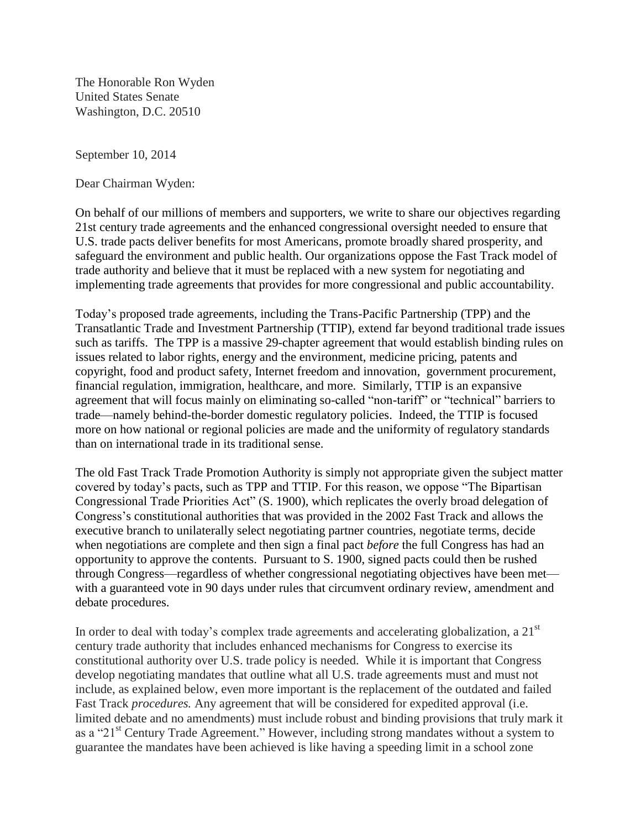The Honorable Ron Wyden United States Senate Washington, D.C. 20510

September 10, 2014

Dear Chairman Wyden:

On behalf of our millions of members and supporters, we write to share our objectives regarding 21st century trade agreements and the enhanced congressional oversight needed to ensure that U.S. trade pacts deliver benefits for most Americans, promote broadly shared prosperity, and safeguard the environment and public health. Our organizations oppose the Fast Track model of trade authority and believe that it must be replaced with a new system for negotiating and implementing trade agreements that provides for more congressional and public accountability.

Today's proposed trade agreements, including the Trans-Pacific Partnership (TPP) and the Transatlantic Trade and Investment Partnership (TTIP), extend far beyond traditional trade issues such as tariffs. The TPP is a massive 29-chapter agreement that would establish binding rules on issues related to labor rights, energy and the environment, medicine pricing, patents and copyright, food and product safety, Internet freedom and innovation, government procurement, financial regulation, immigration, healthcare, and more. Similarly, TTIP is an expansive agreement that will focus mainly on eliminating so-called "non-tariff" or "technical" barriers to trade—namely behind-the-border domestic regulatory policies. Indeed, the TTIP is focused more on how national or regional policies are made and the uniformity of regulatory standards than on international trade in its traditional sense.

The old Fast Track Trade Promotion Authority is simply not appropriate given the subject matter covered by today's pacts, such as TPP and TTIP. For this reason, we oppose "The Bipartisan Congressional Trade Priorities Act" (S. 1900), which replicates the overly broad delegation of Congress's constitutional authorities that was provided in the 2002 Fast Track and allows the executive branch to unilaterally select negotiating partner countries, negotiate terms, decide when negotiations are complete and then sign a final pact *before* the full Congress has had an opportunity to approve the contents. Pursuant to S. 1900, signed pacts could then be rushed through Congress—regardless of whether congressional negotiating objectives have been met with a guaranteed vote in 90 days under rules that circumvent ordinary review, amendment and debate procedures.

In order to deal with today's complex trade agreements and accelerating globalization, a  $21<sup>st</sup>$ century trade authority that includes enhanced mechanisms for Congress to exercise its constitutional authority over U.S. trade policy is needed. While it is important that Congress develop negotiating mandates that outline what all U.S. trade agreements must and must not include, as explained below, even more important is the replacement of the outdated and failed Fast Track *procedures.* Any agreement that will be considered for expedited approval (i.e. limited debate and no amendments) must include robust and binding provisions that truly mark it as a "21<sup>st</sup> Century Trade Agreement." However, including strong mandates without a system to guarantee the mandates have been achieved is like having a speeding limit in a school zone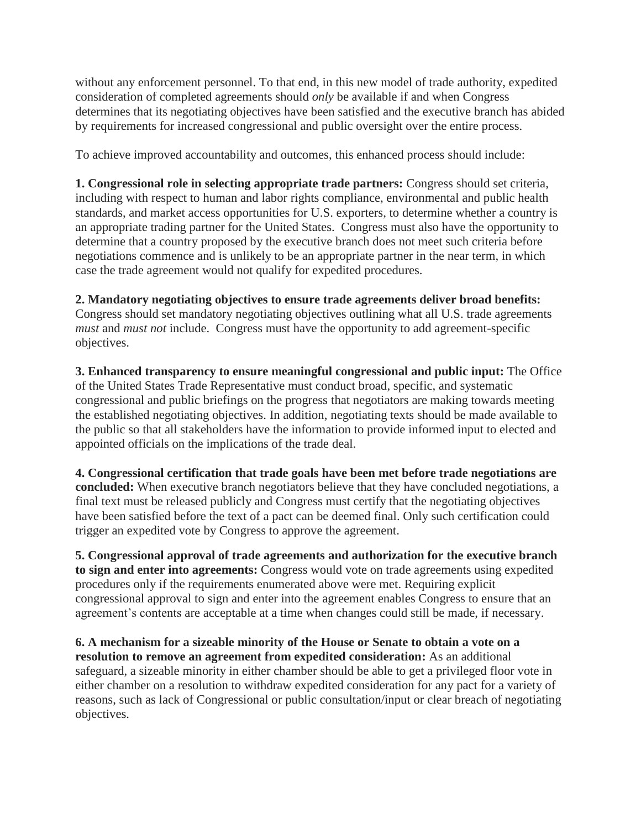without any enforcement personnel. To that end, in this new model of trade authority, expedited consideration of completed agreements should *only* be available if and when Congress determines that its negotiating objectives have been satisfied and the executive branch has abided by requirements for increased congressional and public oversight over the entire process.

To achieve improved accountability and outcomes, this enhanced process should include:

**1. Congressional role in selecting appropriate trade partners:** Congress should set criteria, including with respect to human and labor rights compliance, environmental and public health standards, and market access opportunities for U.S. exporters, to determine whether a country is an appropriate trading partner for the United States. Congress must also have the opportunity to determine that a country proposed by the executive branch does not meet such criteria before negotiations commence and is unlikely to be an appropriate partner in the near term, in which case the trade agreement would not qualify for expedited procedures.

## **2. Mandatory negotiating objectives to ensure trade agreements deliver broad benefits:**

Congress should set mandatory negotiating objectives outlining what all U.S. trade agreements *must* and *must not* include. Congress must have the opportunity to add agreement-specific objectives.

**3. Enhanced transparency to ensure meaningful congressional and public input:** The Office of the United States Trade Representative must conduct broad, specific, and systematic congressional and public briefings on the progress that negotiators are making towards meeting the established negotiating objectives. In addition, negotiating texts should be made available to the public so that all stakeholders have the information to provide informed input to elected and appointed officials on the implications of the trade deal.

**4. Congressional certification that trade goals have been met before trade negotiations are concluded:** When executive branch negotiators believe that they have concluded negotiations, a final text must be released publicly and Congress must certify that the negotiating objectives have been satisfied before the text of a pact can be deemed final. Only such certification could trigger an expedited vote by Congress to approve the agreement.

**5. Congressional approval of trade agreements and authorization for the executive branch to sign and enter into agreements:** Congress would vote on trade agreements using expedited procedures only if the requirements enumerated above were met. Requiring explicit congressional approval to sign and enter into the agreement enables Congress to ensure that an agreement's contents are acceptable at a time when changes could still be made, if necessary.

**6. A mechanism for a sizeable minority of the House or Senate to obtain a vote on a resolution to remove an agreement from expedited consideration:** As an additional safeguard, a sizeable minority in either chamber should be able to get a privileged floor vote in either chamber on a resolution to withdraw expedited consideration for any pact for a variety of reasons, such as lack of Congressional or public consultation/input or clear breach of negotiating objectives.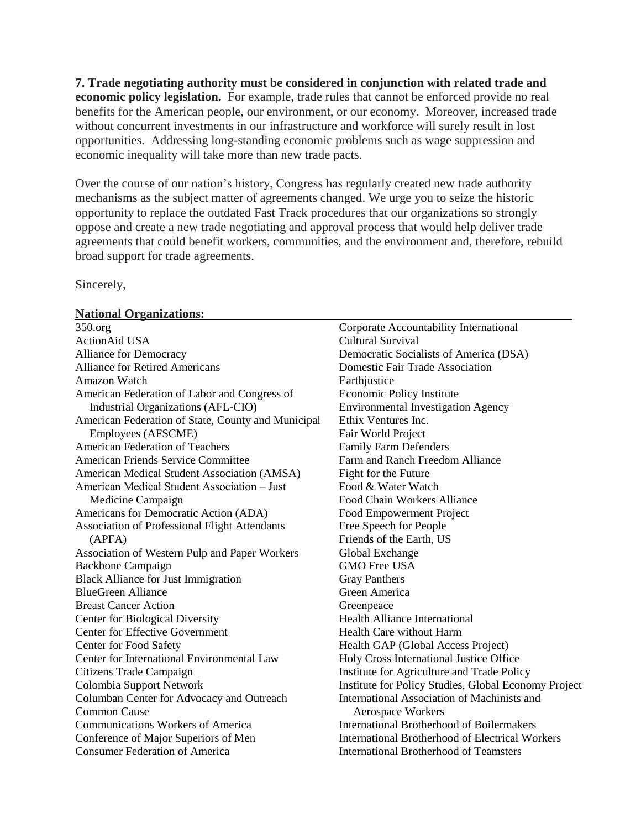**7. Trade negotiating authority must be considered in conjunction with related trade and economic policy legislation.** For example, trade rules that cannot be enforced provide no real benefits for the American people, our environment, or our economy. Moreover, increased trade without concurrent investments in our infrastructure and workforce will surely result in lost opportunities. Addressing long-standing economic problems such as wage suppression and economic inequality will take more than new trade pacts.

Over the course of our nation's history, Congress has regularly created new trade authority mechanisms as the subject matter of agreements changed. We urge you to seize the historic opportunity to replace the outdated Fast Track procedures that our organizations so strongly oppose and create a new trade negotiating and approval process that would help deliver trade agreements that could benefit workers, communities, and the environment and, therefore, rebuild broad support for trade agreements.

Sincerely,

## **National Organizations:**

| 350.org                                            | Corporate Accountability International                 |
|----------------------------------------------------|--------------------------------------------------------|
| <b>ActionAid USA</b>                               | <b>Cultural Survival</b>                               |
| <b>Alliance for Democracy</b>                      | Democratic Socialists of America (DSA)                 |
| <b>Alliance for Retired Americans</b>              | Domestic Fair Trade Association                        |
| Amazon Watch                                       | Earthjustice                                           |
| American Federation of Labor and Congress of       | Economic Policy Institute                              |
| Industrial Organizations (AFL-CIO)                 | <b>Environmental Investigation Agency</b>              |
| American Federation of State, County and Municipal | Ethix Ventures Inc.                                    |
| Employees (AFSCME)                                 | Fair World Project                                     |
| <b>American Federation of Teachers</b>             | <b>Family Farm Defenders</b>                           |
| <b>American Friends Service Committee</b>          | Farm and Ranch Freedom Alliance                        |
| American Medical Student Association (AMSA)        | Fight for the Future                                   |
| American Medical Student Association - Just        | Food & Water Watch                                     |
| Medicine Campaign                                  | Food Chain Workers Alliance                            |
| Americans for Democratic Action (ADA)              | Food Empowerment Project                               |
| Association of Professional Flight Attendants      | Free Speech for People                                 |
| (APFA)                                             | Friends of the Earth, US                               |
| Association of Western Pulp and Paper Workers      | Global Exchange                                        |
| <b>Backbone Campaign</b>                           | <b>GMO Free USA</b>                                    |
| <b>Black Alliance for Just Immigration</b>         | <b>Gray Panthers</b>                                   |
| <b>BlueGreen Alliance</b>                          | Green America                                          |
| <b>Breast Cancer Action</b>                        | Greenpeace                                             |
| <b>Center for Biological Diversity</b>             | <b>Health Alliance International</b>                   |
| <b>Center for Effective Government</b>             | <b>Health Care without Harm</b>                        |
| Center for Food Safety                             | Health GAP (Global Access Project)                     |
| Center for International Environmental Law         | Holy Cross International Justice Office                |
| Citizens Trade Campaign                            | Institute for Agriculture and Trade Policy             |
| Colombia Support Network                           | Institute for Policy Studies, Global Economy Project   |
| Columban Center for Advocacy and Outreach          | International Association of Machinists and            |
| <b>Common Cause</b>                                | <b>Aerospace Workers</b>                               |
| <b>Communications Workers of America</b>           | <b>International Brotherhood of Boilermakers</b>       |
| Conference of Major Superiors of Men               | <b>International Brotherhood of Electrical Workers</b> |
| <b>Consumer Federation of America</b>              | International Brotherhood of Teamsters                 |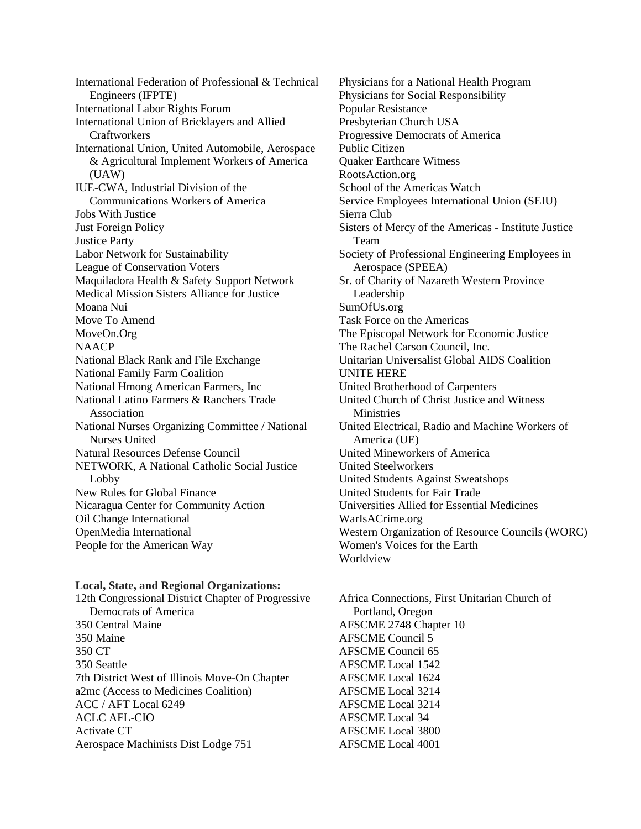International Federation of Professional & Technical Engineers (IFPTE) International Labor Rights Forum International Union of Bricklayers and Allied Craftworkers International Union, United Automobile, Aerospace & Agricultural Implement Workers of America (UAW) IUE-CWA, Industrial Division of the Communications Workers of America Jobs With Justice Just Foreign Policy Justice Party Labor Network for Sustainability League of Conservation Voters Maquiladora Health & Safety Support Network Medical Mission Sisters Alliance for Justice Moana Nui Move To Amend MoveOn.Org **NAACP** National Black Rank and File Exchange National Family Farm Coalition National Hmong American Farmers, Inc National Latino Farmers & Ranchers Trade Association National Nurses Organizing Committee / National Nurses United Natural Resources Defense Council NETWORK, A National Catholic Social Justice Lobby New Rules for Global Finance Nicaragua Center for Community Action Oil Change International OpenMedia International People for the American Way

Physicians for a National Health Program Physicians for Social Responsibility Popular Resistance Presbyterian Church USA Progressive Democrats of America Public Citizen Quaker Earthcare Witness RootsAction.org School of the Americas Watch Service Employees International Union (SEIU) Sierra Club Sisters of Mercy of the Americas - Institute Justice Team Society of Professional Engineering Employees in Aerospace (SPEEA) Sr. of Charity of Nazareth Western Province Leadership SumOfUs.org Task Force on the Americas The Episcopal Network for Economic Justice The Rachel Carson Council, Inc. Unitarian Universalist Global AIDS Coalition UNITE HERE United Brotherhood of Carpenters United Church of Christ Justice and Witness **Ministries** United Electrical, Radio and Machine Workers of America (UE) United Mineworkers of America United Steelworkers United Students Against Sweatshops United Students for Fair Trade Universities Allied for Essential Medicines WarIsACrime.org Western Organization of Resource Councils (WORC) Women's Voices for the Earth Worldview

## **Local, State, and Regional Organizations:**

| Africa Connections, First Unitarian Church of |
|-----------------------------------------------|
| Portland, Oregon                              |
| AFSCME 2748 Chapter 10                        |
| <b>AFSCME</b> Council 5                       |
| AFSCME Council 65                             |
| <b>AFSCME</b> Local 1542                      |
| <b>AFSCME</b> Local 1624                      |
| <b>AFSCME</b> Local 3214                      |
| AFSCME Local 3214                             |
| <b>AFSCME</b> Local 34                        |
| <b>AFSCME</b> Local 3800                      |
| <b>AFSCME</b> Local 4001                      |
|                                               |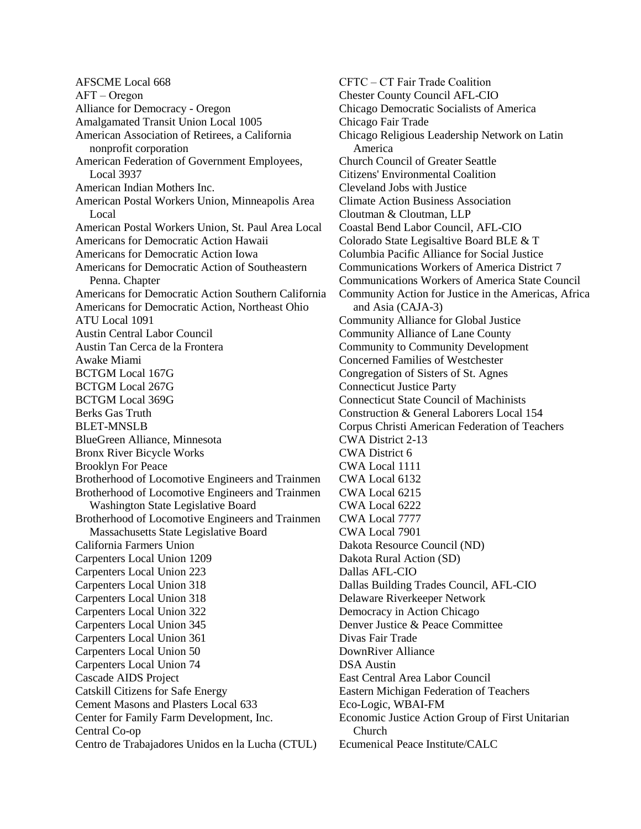AFSCME Local 668  $AFT - Oregon$ Alliance for Democracy - Oregon Amalgamated Transit Union Local 1005 American Association of Retirees, a California nonprofit corporation American Federation of Government Employees, Local 3937 American Indian Mothers Inc. American Postal Workers Union, Minneapolis Area Local American Postal Workers Union, St. Paul Area Local Americans for Democratic Action Hawaii Americans for Democratic Action Iowa Americans for Democratic Action of Southeastern Penna. Chapter Americans for Democratic Action Southern California Americans for Democratic Action, Northeast Ohio ATU Local 1091 Austin Central Labor Council Austin Tan Cerca de la Frontera Awake Miami BCTGM Local 167G BCTGM Local 267G BCTGM Local 369G Berks Gas Truth BLET-MNSLB BlueGreen Alliance, Minnesota Bronx River Bicycle Works Brooklyn For Peace Brotherhood of Locomotive Engineers and Trainmen Brotherhood of Locomotive Engineers and Trainmen Washington State Legislative Board Brotherhood of Locomotive Engineers and Trainmen Massachusetts State Legislative Board California Farmers Union Carpenters Local Union 1209 Carpenters Local Union 223 Carpenters Local Union 318 Carpenters Local Union 318 Carpenters Local Union 322 Carpenters Local Union 345 Carpenters Local Union 361 Carpenters Local Union 50 Carpenters Local Union 74 Cascade AIDS Project Catskill Citizens for Safe Energy Cement Masons and Plasters Local 633 Center for Family Farm Development, Inc. Central Co-op Centro de Trabajadores Unidos en la Lucha (CTUL)

CFTC ‒ CT Fair Trade Coalition Chester County Council AFL-CIO Chicago Democratic Socialists of America Chicago Fair Trade Chicago Religious Leadership Network on Latin America Church Council of Greater Seattle Citizens' Environmental Coalition Cleveland Jobs with Justice Climate Action Business Association Cloutman & Cloutman, LLP Coastal Bend Labor Council, AFL-CIO Colorado State Legisaltive Board BLE & T Columbia Pacific Alliance for Social Justice Communications Workers of America District 7 Communications Workers of America State Council Community Action for Justice in the Americas, Africa and Asia (CAJA-3) Community Alliance for Global Justice Community Alliance of Lane County Community to Community Development Concerned Families of Westchester Congregation of Sisters of St. Agnes Connecticut Justice Party Connecticut State Council of Machinists Construction & General Laborers Local 154 Corpus Christi American Federation of Teachers CWA District 2-13 CWA District 6 CWA Local 1111 CWA Local 6132 CWA Local 6215 CWA Local 6222 CWA Local 7777 CWA Local 7901 Dakota Resource Council (ND) Dakota Rural Action (SD) Dallas AFL-CIO Dallas Building Trades Council, AFL-CIO Delaware Riverkeeper Network Democracy in Action Chicago Denver Justice & Peace Committee Divas Fair Trade DownRiver Alliance DSA Austin East Central Area Labor Council Eastern Michigan Federation of Teachers Eco-Logic, WBAI-FM Economic Justice Action Group of First Unitarian Church Ecumenical Peace Institute/CALC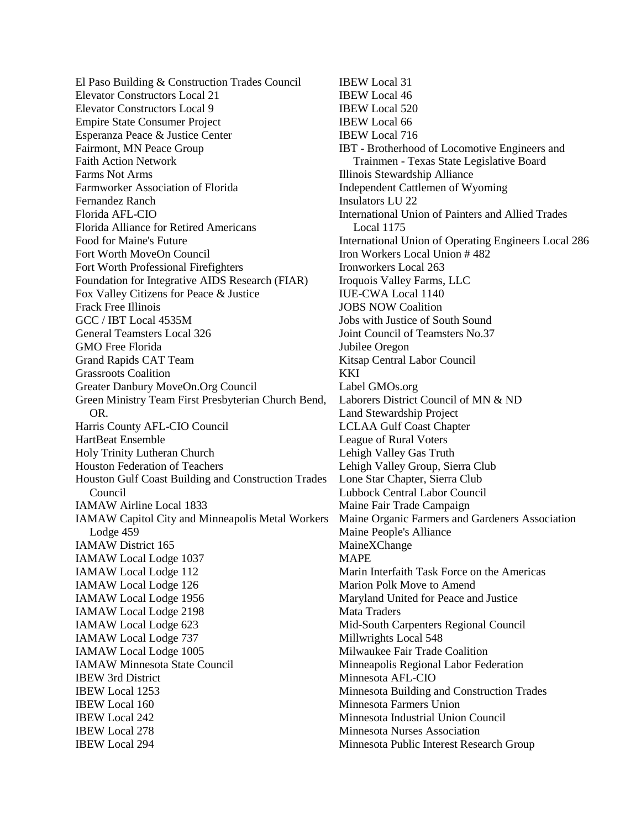El Paso Building & Construction Trades Council Elevator Constructors Local 21 Elevator Constructors Local 9 Empire State Consumer Project Esperanza Peace & Justice Center Fairmont, MN Peace Group Faith Action Network Farms Not Arms Farmworker Association of Florida Fernandez Ranch Florida AFL-CIO Florida Alliance for Retired Americans Food for Maine's Future Fort Worth MoveOn Council Fort Worth Professional Firefighters Foundation for Integrative AIDS Research (FIAR) Fox Valley Citizens for Peace & Justice Frack Free Illinois GCC / IBT Local 4535M General Teamsters Local 326 GMO Free Florida Grand Rapids CAT Team Grassroots Coalition Greater Danbury MoveOn.Org Council Green Ministry Team First Presbyterian Church Bend, OR. Harris County AFL-CIO Council HartBeat Ensemble Holy Trinity Lutheran Church Houston Federation of Teachers Houston Gulf Coast Building and Construction Trades Council IAMAW Airline Local 1833 IAMAW Capitol City and Minneapolis Metal Workers Lodge 459 IAMAW District 165 IAMAW Local Lodge 1037 IAMAW Local Lodge 112 IAMAW Local Lodge 126 IAMAW Local Lodge 1956 IAMAW Local Lodge 2198 IAMAW Local Lodge 623 IAMAW Local Lodge 737 IAMAW Local Lodge 1005 IAMAW Minnesota State Council IBEW 3rd District IBEW Local 1253 IBEW Local 160 IBEW Local 242 IBEW Local 278 IBEW Local 294

IBEW Local 31 IBEW Local 46 IBEW Local 520 IBEW Local 66 IBEW Local 716 IBT - Brotherhood of Locomotive Engineers and Trainmen - Texas State Legislative Board Illinois Stewardship Alliance Independent Cattlemen of Wyoming Insulators LU 22 International Union of Painters and Allied Trades Local 1175 International Union of Operating Engineers Local 286 Iron Workers Local Union # 482 Ironworkers Local 263 Iroquois Valley Farms, LLC IUE-CWA Local 1140 JOBS NOW Coalition Jobs with Justice of South Sound Joint Council of Teamsters No.37 Jubilee Oregon Kitsap Central Labor Council **KKI** Label GMOs.org Laborers District Council of MN & ND Land Stewardship Project LCLAA Gulf Coast Chapter League of Rural Voters Lehigh Valley Gas Truth Lehigh Valley Group, Sierra Club Lone Star Chapter, Sierra Club Lubbock Central Labor Council Maine Fair Trade Campaign Maine Organic Farmers and Gardeners Association Maine People's Alliance MaineXChange MAPE Marin Interfaith Task Force on the Americas Marion Polk Move to Amend Maryland United for Peace and Justice Mata Traders Mid-South Carpenters Regional Council Millwrights Local 548 Milwaukee Fair Trade Coalition Minneapolis Regional Labor Federation Minnesota AFL-CIO Minnesota Building and Construction Trades Minnesota Farmers Union Minnesota Industrial Union Council Minnesota Nurses Association Minnesota Public Interest Research Group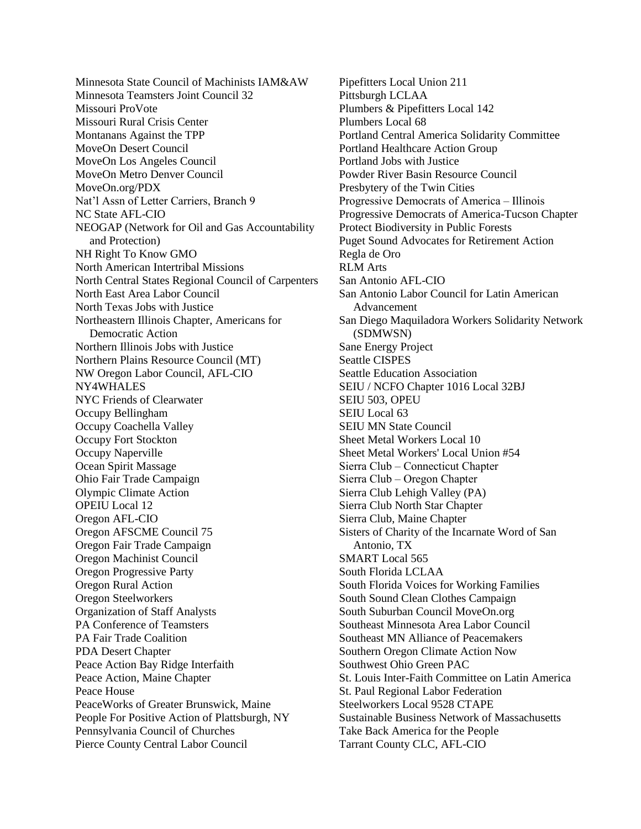Minnesota State Council of Machinists IAM&AW Minnesota Teamsters Joint Council 32 Missouri ProVote Missouri Rural Crisis Center Montanans Against the TPP MoveOn Desert Council MoveOn Los Angeles Council MoveOn Metro Denver Council MoveOn.org/PDX Nat'l Assn of Letter Carriers, Branch 9 NC State AFL-CIO NEOGAP (Network for Oil and Gas Accountability and Protection) NH Right To Know GMO North American Intertribal Missions North Central States Regional Council of Carpenters North East Area Labor Council North Texas Jobs with Justice Northeastern Illinois Chapter, Americans for Democratic Action Northern Illinois Jobs with Justice Northern Plains Resource Council (MT) NW Oregon Labor Council, AFL-CIO NY4WHALES NYC Friends of Clearwater Occupy Bellingham Occupy Coachella Valley Occupy Fort Stockton Occupy Naperville Ocean Spirit Massage Ohio Fair Trade Campaign Olympic Climate Action OPEIU Local 12 Oregon AFL-CIO Oregon AFSCME Council 75 Oregon Fair Trade Campaign Oregon Machinist Council Oregon Progressive Party Oregon Rural Action Oregon Steelworkers Organization of Staff Analysts PA Conference of Teamsters PA Fair Trade Coalition PDA Desert Chapter Peace Action Bay Ridge Interfaith Peace Action, Maine Chapter Peace House PeaceWorks of Greater Brunswick, Maine People For Positive Action of Plattsburgh, NY Pennsylvania Council of Churches Pierce County Central Labor Council

Pipefitters Local Union 211 Pittsburgh LCLAA Plumbers & Pipefitters Local 142 Plumbers Local 68 Portland Central America Solidarity Committee Portland Healthcare Action Group Portland Jobs with Justice Powder River Basin Resource Council Presbytery of the Twin Cities Progressive Democrats of America – Illinois Progressive Democrats of America-Tucson Chapter Protect Biodiversity in Public Forests Puget Sound Advocates for Retirement Action Regla de Oro RLM Arts San Antonio AFL-CIO San Antonio Labor Council for Latin American Advancement San Diego Maquiladora Workers Solidarity Network (SDMWSN) Sane Energy Project Seattle CISPES Seattle Education Association SEIU / NCFO Chapter 1016 Local 32BJ SEIU 503, OPEU SEIU Local 63 SEIU MN State Council Sheet Metal Workers Local 10 Sheet Metal Workers' Local Union #54 Sierra Club ‒ Connecticut Chapter Sierra Club ‒ Oregon Chapter Sierra Club Lehigh Valley (PA) Sierra Club North Star Chapter Sierra Club, Maine Chapter Sisters of Charity of the Incarnate Word of San Antonio, TX SMART Local 565 South Florida LCLAA South Florida Voices for Working Families South Sound Clean Clothes Campaign South Suburban Council MoveOn.org Southeast Minnesota Area Labor Council Southeast MN Alliance of Peacemakers Southern Oregon Climate Action Now Southwest Ohio Green PAC St. Louis Inter-Faith Committee on Latin America St. Paul Regional Labor Federation Steelworkers Local 9528 CTAPE Sustainable Business Network of Massachusetts Take Back America for the People Tarrant County CLC, AFL-CIO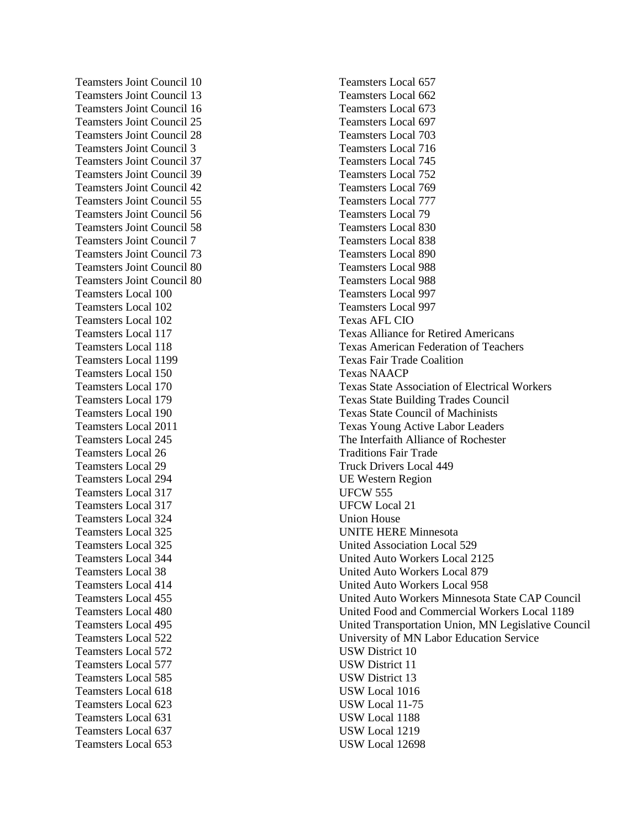Teamsters Joint Council 10 Teamsters Joint Council 13 Teamsters Joint Council 16 Teamsters Joint Council 25 Teamsters Joint Council 28 Teamsters Joint Council 3 Teamsters Joint Council 37 Teamsters Joint Council 39 Teamsters Joint Council 42 Teamsters Joint Council 55 Teamsters Joint Council 56 Teamsters Joint Council 58 Teamsters Joint Council 7 Teamsters Joint Council 73 Teamsters Joint Council 80 Teamsters Joint Council 80 Teamsters Local 100 Teamsters Local 102 Teamsters Local 102 Teamsters Local 117 Teamsters Local 118 Teamsters Local 1199 Teamsters Local 150 Teamsters Local 170 Teamsters Local 179 Teamsters Local 190 Teamsters Local 2011 Teamsters Local 245 Teamsters Local 26 Teamsters Local 29 Teamsters Local 294 Teamsters Local 317 Teamsters Local 317 Teamsters Local 324 Teamsters Local 325 Teamsters Local 325 Teamsters Local 344 Teamsters Local 38 Teamsters Local 414 Teamsters Local 455 Teamsters Local 480 Teamsters Local 495 Teamsters Local 522 Teamsters Local 572 Teamsters Local 577 Teamsters Local 585 Teamsters Local 618 Teamsters Local 623 Teamsters Local 631 Teamsters Local 637 Teamsters Local 653

Teamsters Local 657 Teamsters Local 662 Teamsters Local 673 Teamsters Local 697 Teamsters Local 703 Teamsters Local 716 Teamsters Local 745 Teamsters Local 752 Teamsters Local 769 Teamsters Local 777 Teamsters Local 79 Teamsters Local 830 Teamsters Local 838 Teamsters Local 890 Teamsters Local 988 Teamsters Local 988 Teamsters Local 997 Teamsters Local 997 Texas AFL CIO Texas Alliance for Retired Americans Texas American Federation of Teachers Texas Fair Trade Coalition Texas NAACP Texas State Association of Electrical Workers Texas State Building Trades Council Texas State Council of Machinists Texas Young Active Labor Leaders The Interfaith Alliance of Rochester Traditions Fair Trade Truck Drivers Local 449 UE Western Region UFCW 555 UFCW Local 21 Union House UNITE HERE Minnesota United Association Local 529 United Auto Workers Local 2125 United Auto Workers Local 879 United Auto Workers Local 958 United Auto Workers Minnesota State CAP Council United Food and Commercial Workers Local 1189 United Transportation Union, MN Legislative Council University of MN Labor Education Service USW District 10 USW District 11 USW District 13 USW Local 1016 USW Local 11-75 USW Local 1188 USW Local 1219 USW Local 12698